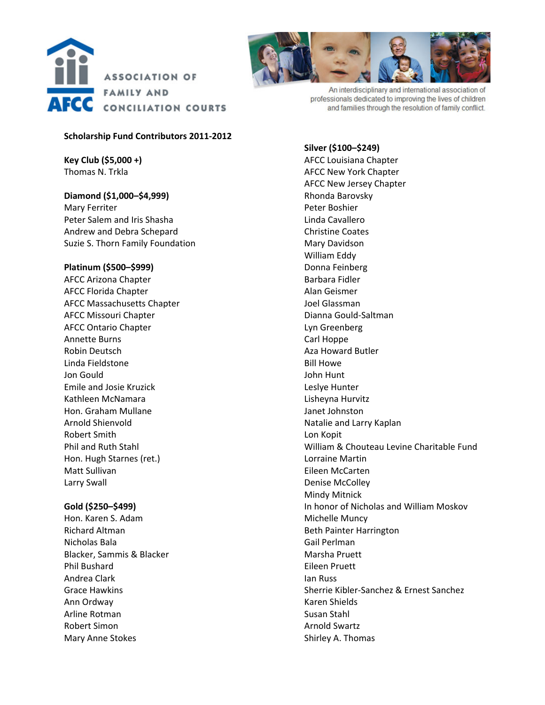



#### **Scholarship Fund Contributors 2011‐2012**

**Key Club (\$5,000 +)** Thomas N. Trkla

# **Diamond (\$1,000–\$4,999)**

Mary Ferriter Peter Salem and Iris Shasha Andrew and Debra Schepard Suzie S. Thorn Family Foundation

## **Platinum (\$500–\$999)**

AFCC Arizona Chapter AFCC Florida Chapter AFCC Massachusetts Chapter AFCC Missouri Chapter AFCC Ontario Chapter Annette Burns Robin Deutsch Linda Fieldstone Jon Gould Emile and Josie Kruzick Kathleen McNamara Hon. Graham Mullane Arnold Shienvold Robert Smith Phil and Ruth Stahl Hon. Hugh Starnes (ret.) Matt Sullivan Larry Swall

## **Gold (\$250–\$499)**

Hon. Karen S. Adam Richard Altman Nicholas Bala Blacker, Sammis & Blacker Phil Bushard Andrea Clark Grace Hawkins Ann Ordway Arline Rotman Robert Simon Mary Anne Stokes



An interdisciplinary and international association of professionals dedicated to improving the lives of children and families through the resolution of family conflict.

## **Silver (\$100–\$249)**

AFCC Louisiana Chapter AFCC New York Chapter AFCC New Jersey Chapter Rhonda Barovsky Peter Boshier Linda Cavallero Christine Coates Mary Davidson William Eddy Donna Feinberg Barbara Fidler Alan Geismer Joel Glassman Dianna Gould‐Saltman Lyn Greenberg Carl Hoppe Aza Howard Butler Bill Howe John Hunt Leslye Hunter Lisheyna Hurvitz Janet Johnston Natalie and Larry Kaplan Lon Kopit William & Chouteau Levine Charitable Fund Lorraine Martin Eileen McCarten Denise McColley Mindy Mitnick In honor of Nicholas and William Moskov Michelle Muncy Beth Painter Harrington Gail Perlman Marsha Pruett Eileen Pruett Ian Russ Sherrie Kibler‐Sanchez & Ernest Sanchez Karen Shields Susan Stahl Arnold Swartz Shirley A. Thomas